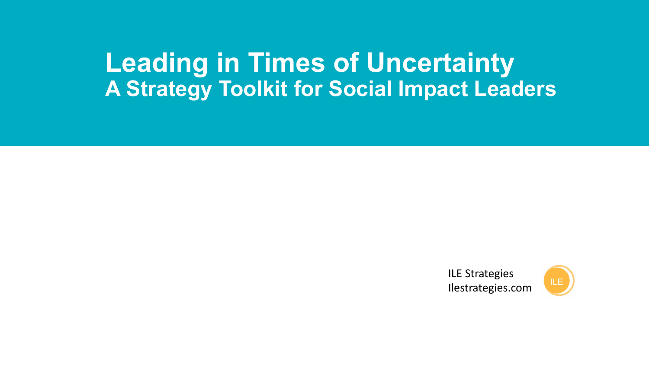# **Leading in Times of Uncertainty A Strategy Toolkit for Social Impact Leaders**

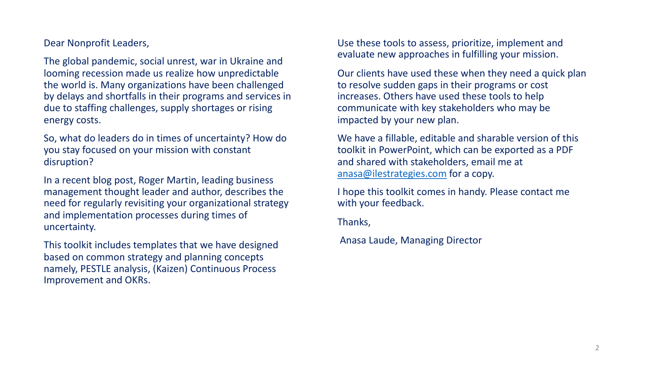Dear Nonprofit Leaders,

The global pandemic, social unrest, war in Ukraine and looming recession made us realize how unpredictable the world is. Many organizations have been challenged by delays and shortfalls in their programs and services in due to staffing challenges, supply shortages or rising energy costs.

So, what do leaders do in times of uncertainty? How do you stay focused on your mission with constant disruption?

In a recent blog post, Roger Martin, leading business management thought leader and author, describes the need for regularly revisiting your organizational strategy and implementation processes during times of uncertainty.

This toolkit includes templates that we have designed based on common strategy and planning concepts namely, PESTLE analysis, (Kaizen) Continuous Process Improvement and OKRs.

Use these tools to evaluate new approach

Our clients have use to resolve sudder increases. Others communicate with impacted by your

We have a fillable toolkit in PowerP and shared with sta anasa@ilestrateg

I hope this toolkit with your feedbac

Thanks,

Anasa Laude, Ma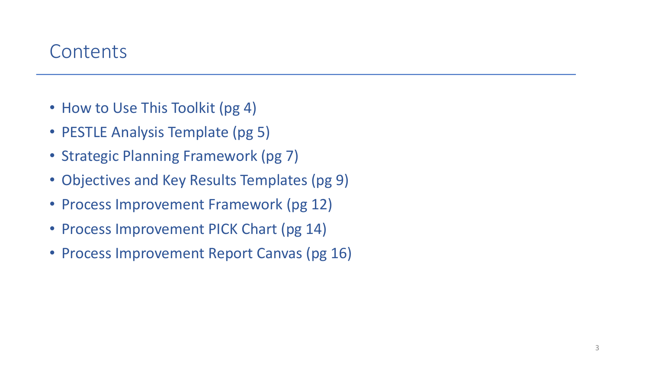### **Contents**

- How to Use This Toolkit (pg 4)
- PESTLE Analysis Template (pg 5)
- Strategic Planning Framework (pg 7)
- Objectives and Key Results Templates (pg 9)
- Process Improvement Framework (pg 12)
- Process Improvement PICK Chart (pg 14)
- Process Improvement Report Canvas (pg 16)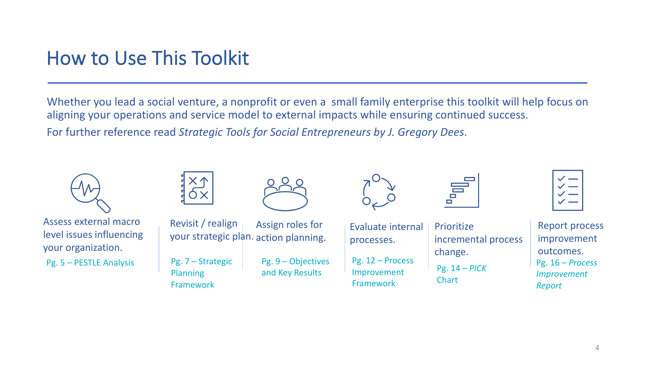### How to Use This Toolkit

Whether you lead a social venture, a nonprofit or even a small family enterprise this toolkit will help focus on aligning your operations and service model to external impacts while ensuring continued success.

For further reference read *Strategic Tools for Social Entrepreneurs by J. Gregory Dees*.

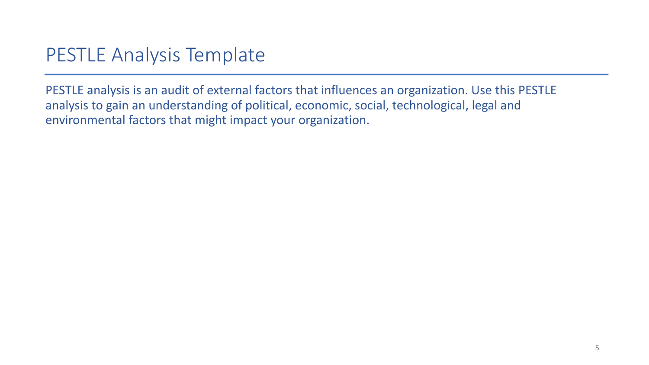# PESTLE Analysis Template

PESTLE analysis is an audit of external factors that influences an organization. Use this PESTLE analysis to gain an understanding of political, economic, social, technological, legal and environmental factors that might impact your organization.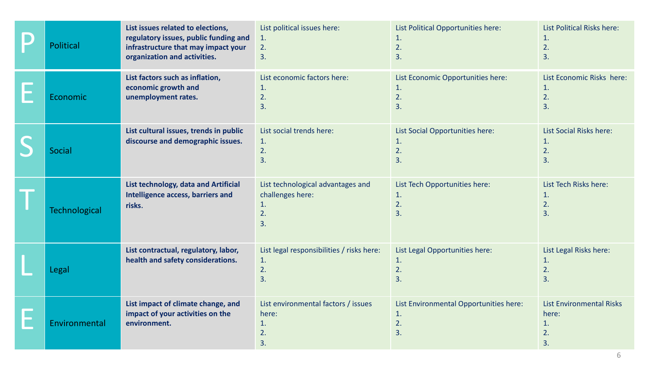| <b>Political</b>     | List issues related to elections,<br>regulatory issues, public funding and<br>infrastructure that may impact your<br>organization and activities. | List political issues here:<br>1.<br>2.<br>3.                           | List Political Opportunities here:<br>1.<br>2.<br>3.     | List Political Risks here:<br>1.<br>2.<br>3.               |
|----------------------|---------------------------------------------------------------------------------------------------------------------------------------------------|-------------------------------------------------------------------------|----------------------------------------------------------|------------------------------------------------------------|
| Economic             | List factors such as inflation,<br>economic growth and<br>unemployment rates.                                                                     | List economic factors here:<br>1.<br>2.<br>3.                           | List Economic Opportunities here:<br>1.<br>2.<br>3.      | List Economic Risks here:<br>1.<br>2.<br>3.                |
| <b>Social</b>        | List cultural issues, trends in public<br>discourse and demographic issues.                                                                       | List social trends here:<br>1.<br>2.<br>3.                              | List Social Opportunities here:<br>1.<br>2.<br>3.        | <b>List Social Risks here:</b><br>1.<br>2.<br>3.           |
| <b>Technological</b> | List technology, data and Artificial<br>Intelligence access, barriers and<br>risks.                                                               | List technological advantages and<br>challenges here:<br>1.<br>2.<br>3. | List Tech Opportunities here:<br>1.<br>2.<br>3.          | List Tech Risks here:<br>1.<br>2.<br>3.                    |
| Legal                | List contractual, regulatory, labor,<br>health and safety considerations.                                                                         | List legal responsibilities / risks here:<br>1.<br>2.<br>3.             | List Legal Opportunities here:<br>1.<br>2.<br>3.         | List Legal Risks here:<br>1.<br>2.<br>3.                   |
| Environmental        | List impact of climate change, and<br>impact of your activities on the<br>environment.                                                            | List environmental factors / issues<br>here:<br>1.<br>2.<br>3.          | List Environmental Opportunities here:<br>1.<br>2.<br>3. | <b>List Environmental Risks</b><br>here:<br>1.<br>2.<br>3. |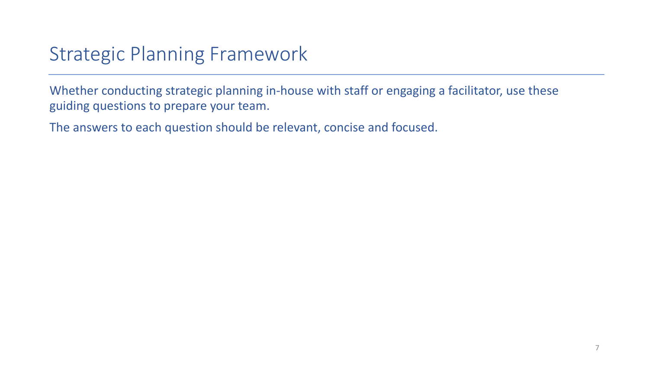## Strategic Planning Framework

Whether conducting strategic planning in-house with staff or engaging a facilitator, use these guiding questions to prepare your team.

The answers to each question should be relevant, concise and focused.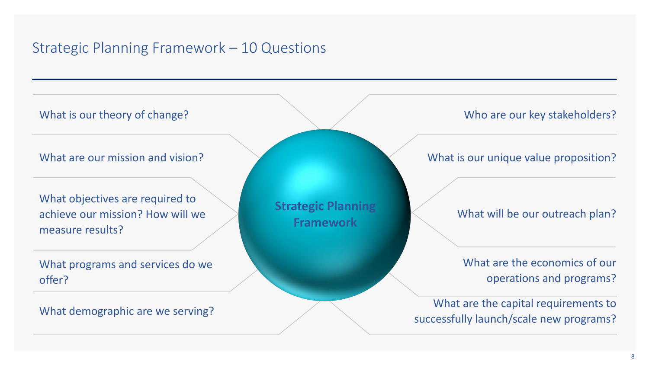### Strategic Planning Framework – 10 Questions

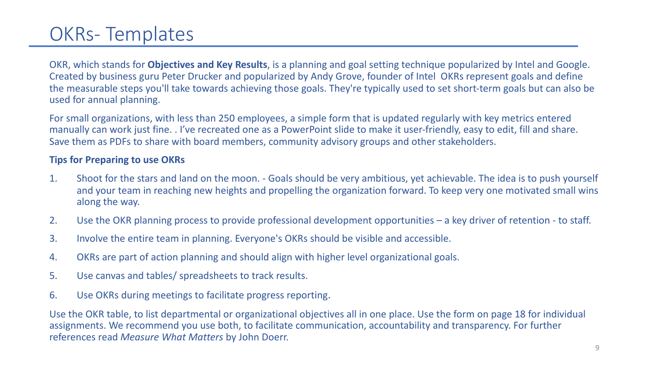### OKRs- Templates

OKR, which stands for **Objectives and Key Results**, is a planning and goal setting technique popularized by Intel and Google. Created by business guru Peter Drucker and popularized by Andy Grove, founder of Intel OKRs represent goals and define the measurable steps you'll take towards achieving those goals. They're typically used to set short-term goals but can also be used for annual planning.

For small organizations, with less than 250 employees, a simple form that is updated regularly with key metrics entered manually can work just fine. . I've recreated one as a PowerPoint slide to make it user-friendly, easy to edit, fill and share. Save them as PDFs to share with board members, community advisory groups and other stakeholders.

#### **Tips for Preparing to use OKRs**

- 1. Shoot for the stars and land on the moon. Goals should be very ambitious, yet achievable. The idea is to push yourself and your team in reaching new heights and propelling the organization forward. To keep very one motivated small wins along the way.
- 2. Use the OKR planning process to provide professional development opportunities a key driver of retention to staff.
- 3. Involve the entire team in planning. Everyone's OKRs should be visible and accessible.
- 4. OKRs are part of action planning and should align with higher level organizational goals.
- 5. Use canvas and tables/ spreadsheets to track results.
- 6. Use OKRs during meetings to facilitate progress reporting.

Use the OKR table, to list departmental or organizational objectives all in one place. Use the form on page 18 for individual assignments. We recommend you use both, to facilitate communication, accountability and transparency. For further references read *Measure What Matters* by John Doerr. 9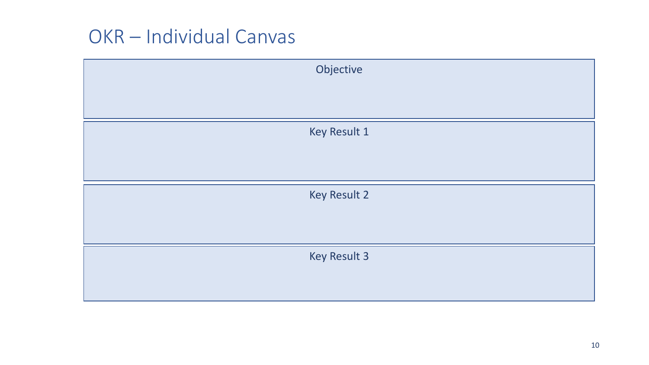### OKR – Individual Canvas

| Objective    |
|--------------|
|              |
|              |
| Key Result 1 |
|              |
|              |
| Key Result 2 |
|              |
|              |
| Key Result 3 |
|              |
|              |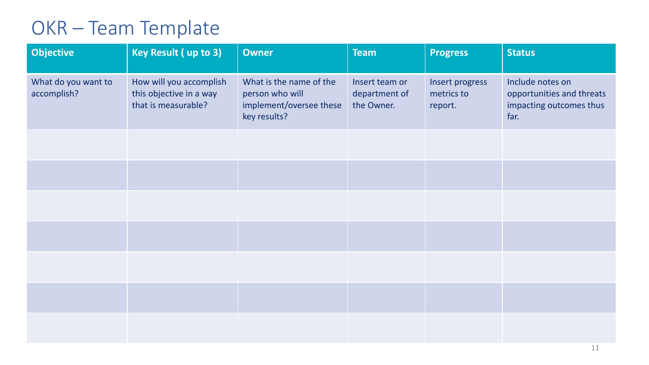# OKR – Team Template

| <b>Objective</b>                   | Key Result (up to 3)                                                      | <b>Owner</b>                                                                          | <b>Team</b>                                   | <b>Progress</b>                          | <b>Status</b>                                                                    |
|------------------------------------|---------------------------------------------------------------------------|---------------------------------------------------------------------------------------|-----------------------------------------------|------------------------------------------|----------------------------------------------------------------------------------|
| What do you want to<br>accomplish? | How will you accomplish<br>this objective in a way<br>that is measurable? | What is the name of the<br>person who will<br>implement/oversee these<br>key results? | Insert team or<br>department of<br>the Owner. | Insert progress<br>metrics to<br>report. | Include notes on<br>opportunities and threats<br>impacting outcomes thus<br>far. |
|                                    |                                                                           |                                                                                       |                                               |                                          |                                                                                  |
|                                    |                                                                           |                                                                                       |                                               |                                          |                                                                                  |
|                                    |                                                                           |                                                                                       |                                               |                                          |                                                                                  |
|                                    |                                                                           |                                                                                       |                                               |                                          |                                                                                  |
|                                    |                                                                           |                                                                                       |                                               |                                          |                                                                                  |
|                                    |                                                                           |                                                                                       |                                               |                                          |                                                                                  |
|                                    |                                                                           |                                                                                       |                                               |                                          |                                                                                  |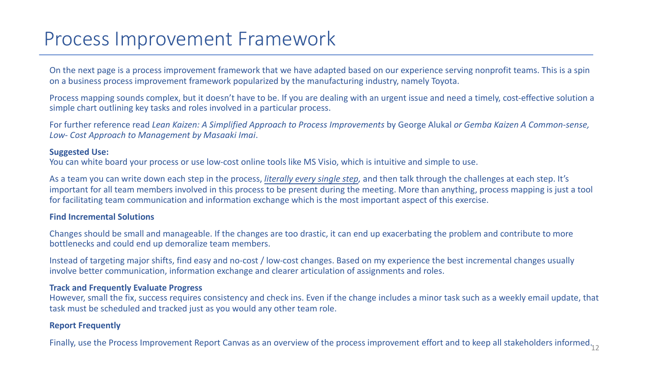### Process Improvement Framework

On the next page is a process improvement framework that we have adapted based on our experience serving nonprofit teams. This is a spin on a business process improvement framework popularized by the manufacturing industry, namely Toyota.

Process mapping sounds complex, but it doesn't have to be. If you are dealing with an urgent issue and need a timely, cost-effective solution a simple chart outlining key tasks and roles involved in a particular process.

For further reference read *Lean Kaizen: A Simplified Approach to Process Improvements* by George Alukal *or Gemba Kaizen A Common-sense, Low- Cost Approach to Management by Masaaki Imai*.

#### **Suggested Use:**

You can white board your process or use low-cost online tools like MS Visio, which is intuitive and simple to use.

As a team you can write down each step in the process, *literally every single step,* and then talk through the challenges at each step. It's important for all team members involved in this process to be present during the meeting. More than anything, process mapping is just a tool for facilitating team communication and information exchange which is the most important aspect of this exercise.

#### **Find Incremental Solutions**

Changes should be small and manageable. If the changes are too drastic, it can end up exacerbating the problem and contribute to more bottlenecks and could end up demoralize team members.

Instead of targeting major shifts, find easy and no-cost / low-cost changes. Based on my experience the best incremental changes usually involve better communication, information exchange and clearer articulation of assignments and roles.

#### **Track and Frequently Evaluate Progress**

However, small the fix, success requires consistency and check ins. Even if the change includes a minor task such as a weekly email update, that task must be scheduled and tracked just as you would any other team role.

#### **Report Frequently**

Finally, use the Process Improvement Report Canvas as an overview of the process improvement effort and to keep all stakeholders informed. $_{12}$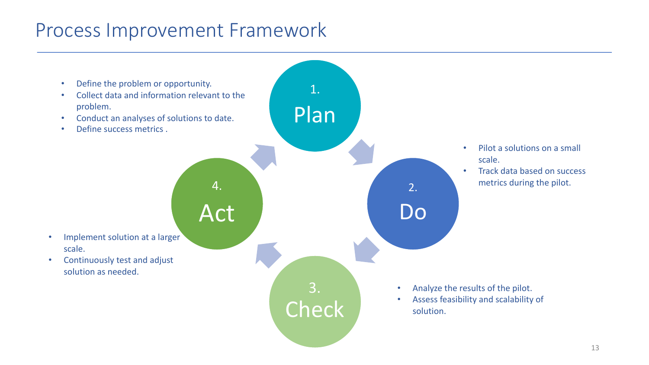### Process Improvement Framework

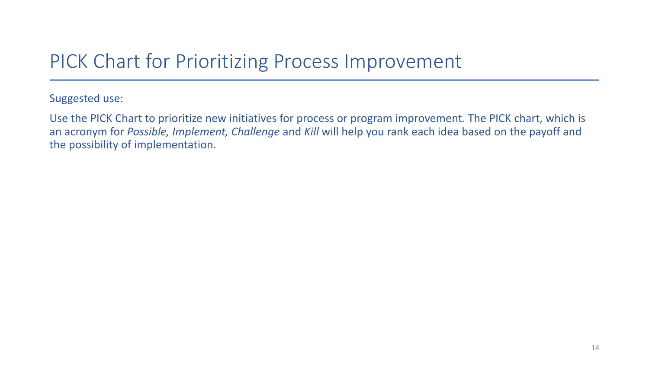### PICK Chart for Prioritizing Process Improvement

Suggested use:

Use the PICK Chart to prioritize new initiatives for process or program improvement. The PICK chart, which is an acronym for *Possible, Implement, Challenge* and *Kill* will help you rank each idea based on the payoff and the possibility of implementation.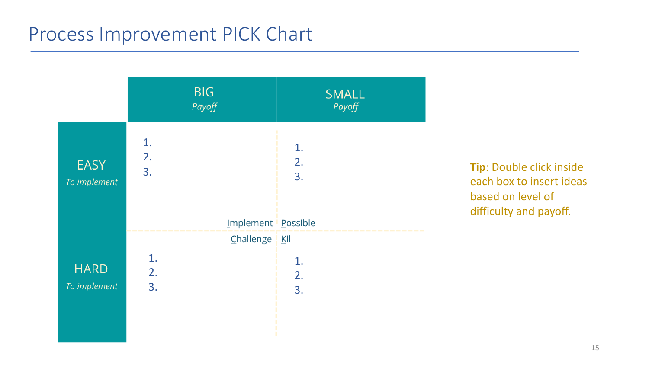### Process Improvement PICK Chart



**Tip**: Double click inside each box to insert ideas based on level of difficulty and payoff.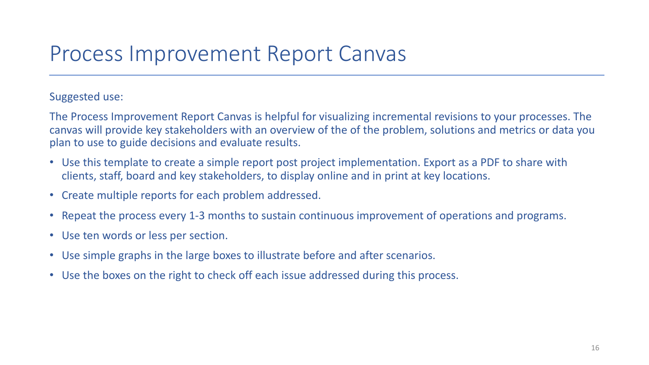## Process Improvement Report Canvas

#### Suggested use:

The Process Improvement Report Canvas is helpful for visualizing incremental revisions to your processes. The canvas will provide key stakeholders with an overview of the of the problem, solutions and metrics or data you plan to use to guide decisions and evaluate results.

- Use this template to create a simple report post project implementation. Export as a PDF to share with clients, staff, board and key stakeholders, to display online and in print at key locations.
- Create multiple reports for each problem addressed.
- Repeat the process every 1-3 months to sustain continuous improvement of operations and programs.
- Use ten words or less per section.
- Use simple graphs in the large boxes to illustrate before and after scenarios.
- Use the boxes on the right to check off each issue addressed during this process.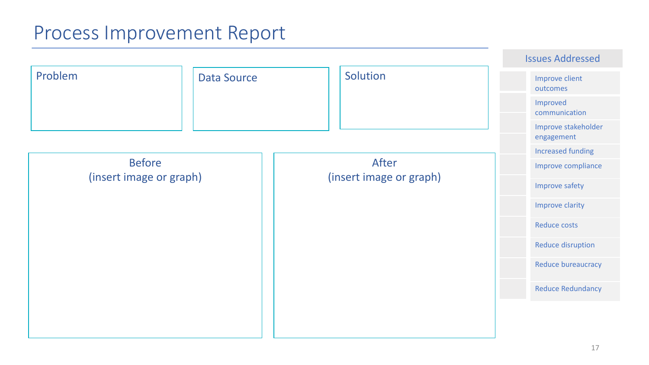### Process Improvement Report

|         |                                          |                                  | <b>Issues Addressed</b>           |
|---------|------------------------------------------|----------------------------------|-----------------------------------|
| Problem | <b>Data Source</b>                       | Solution                         | Improve client<br>outcomes        |
|         |                                          |                                  | Improved<br>communication         |
|         |                                          |                                  | Improve stakeholder<br>engagement |
|         |                                          |                                  | <b>Increased funding</b>          |
|         | <b>Before</b><br>(insert image or graph) | After<br>(insert image or graph) | Improve compliance                |
|         |                                          |                                  | Improve safety                    |
|         |                                          |                                  | Improve clarity                   |
|         |                                          |                                  | Reduce costs                      |
|         |                                          |                                  | Reduce disruption                 |
|         |                                          |                                  | Reduce bureaucracy                |
|         |                                          |                                  | <b>Reduce Redundancy</b>          |
|         |                                          |                                  |                                   |
|         |                                          |                                  |                                   |